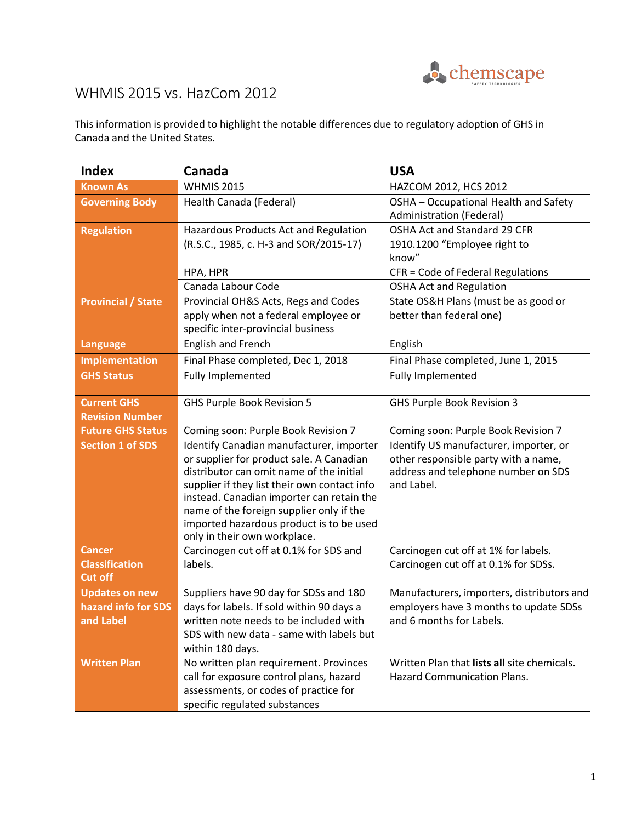

## WHMIS 2015 vs. HazCom 2012

This information is provided to highlight the notable differences due to regulatory adoption of GHS in Canada and the United States.

| <b>Index</b>                                              | Canada                                                                                                                                                                                                                                                                                                                                                | <b>USA</b>                                                                                                                          |
|-----------------------------------------------------------|-------------------------------------------------------------------------------------------------------------------------------------------------------------------------------------------------------------------------------------------------------------------------------------------------------------------------------------------------------|-------------------------------------------------------------------------------------------------------------------------------------|
| <b>Known As</b>                                           | <b>WHMIS 2015</b>                                                                                                                                                                                                                                                                                                                                     | HAZCOM 2012, HCS 2012                                                                                                               |
| <b>Governing Body</b>                                     | Health Canada (Federal)                                                                                                                                                                                                                                                                                                                               | OSHA - Occupational Health and Safety<br><b>Administration (Federal)</b>                                                            |
| <b>Regulation</b>                                         | Hazardous Products Act and Regulation<br>(R.S.C., 1985, c. H-3 and SOR/2015-17)                                                                                                                                                                                                                                                                       | OSHA Act and Standard 29 CFR<br>1910.1200 "Employee right to<br>know"                                                               |
|                                                           | HPA, HPR                                                                                                                                                                                                                                                                                                                                              | CFR = Code of Federal Regulations                                                                                                   |
|                                                           | Canada Labour Code                                                                                                                                                                                                                                                                                                                                    | <b>OSHA Act and Regulation</b>                                                                                                      |
| <b>Provincial / State</b>                                 | Provincial OH&S Acts, Regs and Codes<br>apply when not a federal employee or<br>specific inter-provincial business                                                                                                                                                                                                                                    | State OS&H Plans (must be as good or<br>better than federal one)                                                                    |
| <b>Language</b>                                           | English and French                                                                                                                                                                                                                                                                                                                                    | English                                                                                                                             |
| Implementation                                            | Final Phase completed, Dec 1, 2018                                                                                                                                                                                                                                                                                                                    | Final Phase completed, June 1, 2015                                                                                                 |
| <b>GHS Status</b>                                         | <b>Fully Implemented</b>                                                                                                                                                                                                                                                                                                                              | <b>Fully Implemented</b>                                                                                                            |
| <b>Current GHS</b><br><b>Revision Number</b>              | GHS Purple Book Revision 5                                                                                                                                                                                                                                                                                                                            | <b>GHS Purple Book Revision 3</b>                                                                                                   |
| <b>Future GHS Status</b>                                  | Coming soon: Purple Book Revision 7                                                                                                                                                                                                                                                                                                                   | Coming soon: Purple Book Revision 7                                                                                                 |
| <b>Section 1 of SDS</b>                                   | Identify Canadian manufacturer, importer<br>or supplier for product sale. A Canadian<br>distributor can omit name of the initial<br>supplier if they list their own contact info<br>instead. Canadian importer can retain the<br>name of the foreign supplier only if the<br>imported hazardous product is to be used<br>only in their own workplace. | Identify US manufacturer, importer, or<br>other responsible party with a name,<br>address and telephone number on SDS<br>and Label. |
| <b>Cancer</b><br><b>Classification</b><br><b>Cut off</b>  | Carcinogen cut off at 0.1% for SDS and<br>labels.                                                                                                                                                                                                                                                                                                     | Carcinogen cut off at 1% for labels.<br>Carcinogen cut off at 0.1% for SDSs.                                                        |
| <b>Updates on new</b><br>hazard info for SDS<br>and Label | Suppliers have 90 day for SDSs and 180<br>days for labels. If sold within 90 days a<br>written note needs to be included with<br>SDS with new data - same with labels but<br>within 180 days.                                                                                                                                                         | Manufacturers, importers, distributors and<br>employers have 3 months to update SDSs<br>and 6 months for Labels.                    |
| <b>Written Plan</b>                                       | No written plan requirement. Provinces<br>call for exposure control plans, hazard<br>assessments, or codes of practice for<br>specific regulated substances                                                                                                                                                                                           | Written Plan that lists all site chemicals.<br><b>Hazard Communication Plans.</b>                                                   |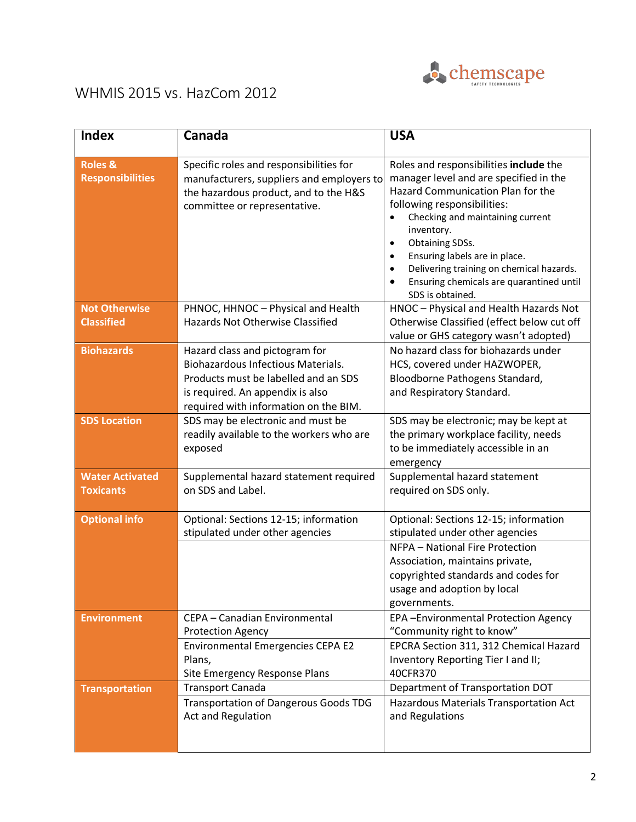

## WHMIS 2015 vs. HazCom 2012

| <b>Index</b>                                  | Canada                                                                                                                                                                                           | <b>USA</b>                                                                                                                                                                                                                                                                                                                                                                                                                 |
|-----------------------------------------------|--------------------------------------------------------------------------------------------------------------------------------------------------------------------------------------------------|----------------------------------------------------------------------------------------------------------------------------------------------------------------------------------------------------------------------------------------------------------------------------------------------------------------------------------------------------------------------------------------------------------------------------|
| <b>Roles &amp;</b><br><b>Responsibilities</b> | Specific roles and responsibilities for<br>manufacturers, suppliers and employers to<br>the hazardous product, and to the H&S<br>committee or representative.                                    | Roles and responsibilities include the<br>manager level and are specified in the<br>Hazard Communication Plan for the<br>following responsibilities:<br>Checking and maintaining current<br>$\bullet$<br>inventory.<br>Obtaining SDSs.<br>$\bullet$<br>Ensuring labels are in place.<br>$\bullet$<br>Delivering training on chemical hazards.<br>$\bullet$<br>Ensuring chemicals are quarantined until<br>SDS is obtained. |
| <b>Not Otherwise</b><br><b>Classified</b>     | PHNOC, HHNOC - Physical and Health<br>Hazards Not Otherwise Classified                                                                                                                           | HNOC - Physical and Health Hazards Not<br>Otherwise Classified (effect below cut off<br>value or GHS category wasn't adopted)                                                                                                                                                                                                                                                                                              |
| <b>Biohazards</b>                             | Hazard class and pictogram for<br><b>Biohazardous Infectious Materials.</b><br>Products must be labelled and an SDS<br>is required. An appendix is also<br>required with information on the BIM. | No hazard class for biohazards under<br>HCS, covered under HAZWOPER,<br>Bloodborne Pathogens Standard,<br>and Respiratory Standard.                                                                                                                                                                                                                                                                                        |
| <b>SDS Location</b>                           | SDS may be electronic and must be<br>readily available to the workers who are<br>exposed                                                                                                         | SDS may be electronic; may be kept at<br>the primary workplace facility, needs<br>to be immediately accessible in an<br>emergency                                                                                                                                                                                                                                                                                          |
| <b>Water Activated</b><br><b>Toxicants</b>    | Supplemental hazard statement required<br>on SDS and Label.                                                                                                                                      | Supplemental hazard statement<br>required on SDS only.                                                                                                                                                                                                                                                                                                                                                                     |
| <b>Optional info</b>                          | Optional: Sections 12-15; information<br>stipulated under other agencies                                                                                                                         | Optional: Sections 12-15; information<br>stipulated under other agencies<br>NFPA - National Fire Protection<br>Association, maintains private,<br>copyrighted standards and codes for<br>usage and adoption by local<br>governments.                                                                                                                                                                                       |
| <b>Environment</b>                            | CEPA - Canadian Environmental<br><b>Protection Agency</b><br><b>Environmental Emergencies CEPA E2</b><br>Plans,<br>Site Emergency Response Plans                                                 | EPA-Environmental Protection Agency<br>"Community right to know"<br>EPCRA Section 311, 312 Chemical Hazard<br>Inventory Reporting Tier I and II;<br>40CFR370                                                                                                                                                                                                                                                               |
| <b>Transportation</b>                         | <b>Transport Canada</b><br><b>Transportation of Dangerous Goods TDG</b><br>Act and Regulation                                                                                                    | Department of Transportation DOT<br>Hazardous Materials Transportation Act<br>and Regulations                                                                                                                                                                                                                                                                                                                              |